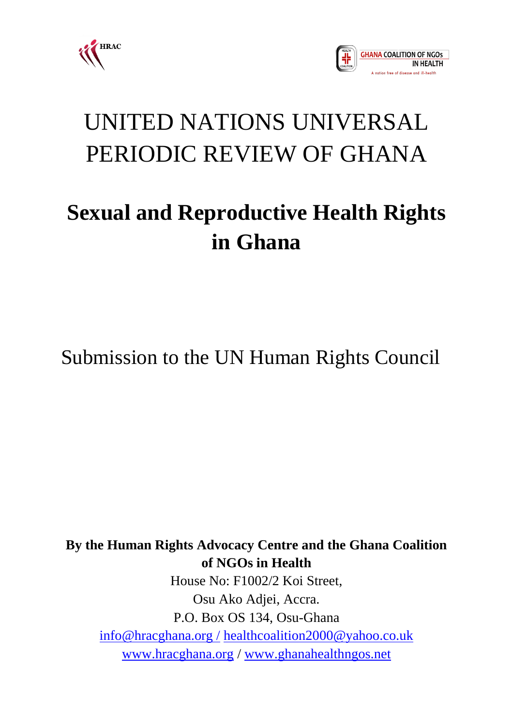



# UNITED NATIONS UNIVERSAL PERIODIC REVIEW OF GHANA

## **Sexual and Reproductive Health Rights in Ghana**

Submission to the UN Human Rights Council

**By the Human Rights Advocacy Centre and the Ghana Coalition of NGOs in Health** House No: F1002/2 Koi Street, Osu Ako Adjei, Accra. P.O. Box OS 134, Osu-Ghana [info@hracghana.org /](mailto:info@hracghana.org%20/) [healthcoalition2000@yahoo.co.uk](mailto:healthcoalition2000@yahoo.co.uk)

[www.hracghana.org](http://www.hracghana.org/) / [www.ghanahealthngos.net](http://www.ghanahealthngos.net/)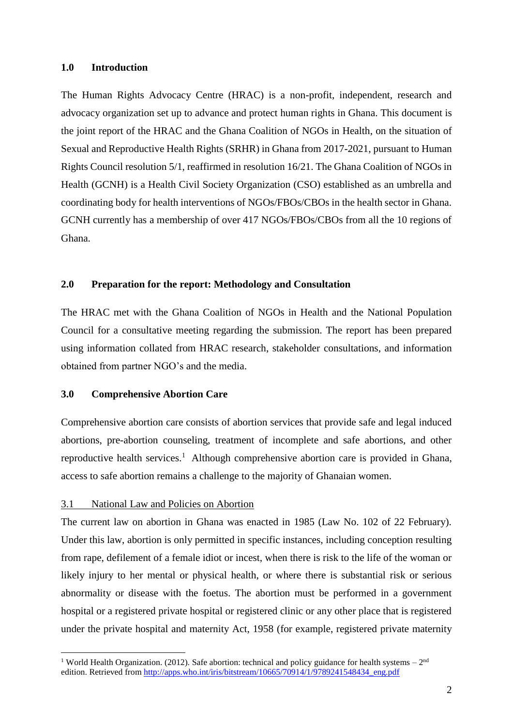#### **1.0 Introduction**

The Human Rights Advocacy Centre (HRAC) is a non-profit, independent, research and advocacy organization set up to advance and protect human rights in Ghana. This document is the joint report of the HRAC and the Ghana Coalition of NGOs in Health, on the situation of Sexual and Reproductive Health Rights (SRHR) in Ghana from 2017-2021, pursuant to Human Rights Council resolution 5/1, reaffirmed in resolution 16/21. The Ghana Coalition of NGOs in Health (GCNH) is a Health Civil Society Organization (CSO) established as an umbrella and coordinating body for health interventions of NGOs/FBOs/CBOs in the health sector in Ghana. GCNH currently has a membership of over 417 NGOs/FBOs/CBOs from all the 10 regions of Ghana.

#### **2.0 Preparation for the report: Methodology and Consultation**

The HRAC met with the Ghana Coalition of NGOs in Health and the National Population Council for a consultative meeting regarding the submission. The report has been prepared using information collated from HRAC research, stakeholder consultations, and information obtained from partner NGO's and the media.

#### **3.0 Comprehensive Abortion Care**

Comprehensive abortion care consists of abortion services that provide safe and legal induced abortions, pre-abortion counseling, treatment of incomplete and safe abortions, and other reproductive health services.<sup>1</sup> Although comprehensive abortion care is provided in Ghana, access to safe abortion remains a challenge to the majority of Ghanaian women.

#### 3.1 National Law and Policies on Abortion

 $\overline{a}$ 

The current law on abortion in Ghana was enacted in 1985 (Law No. 102 of 22 February). Under this law, abortion is only permitted in specific instances, including conception resulting from rape, defilement of a female idiot or incest, when there is risk to the life of the woman or likely injury to her mental or physical health, or where there is substantial risk or serious abnormality or disease with the foetus. The abortion must be performed in a government hospital or a registered private hospital or registered clinic or any other place that is registered under the private hospital and maternity Act, 1958 (for example, registered private maternity

<sup>&</sup>lt;sup>1</sup> World Health Organization. (2012). Safe abortion: technical and policy guidance for health systems –  $2<sup>nd</sup>$ edition. Retrieved from [http://apps.who.int/iris/bitstream/10665/70914/1/9789241548434\\_eng.pdf](http://apps.who.int/iris/bitstream/10665/70914/1/9789241548434_eng.pdf)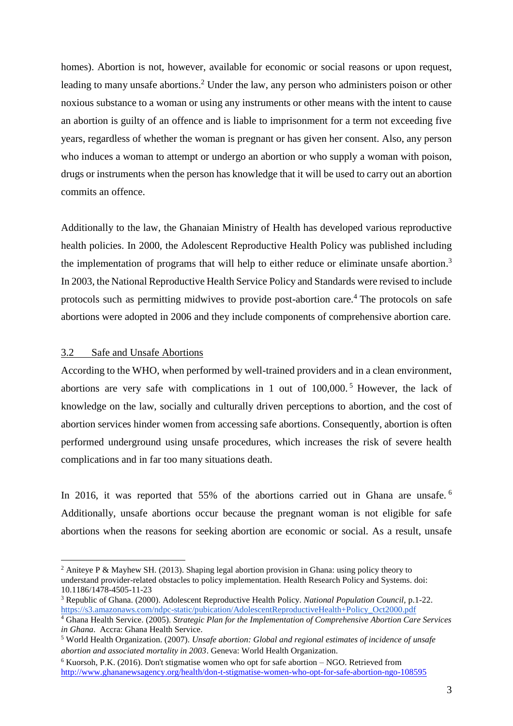homes). Abortion is not, however, available for economic or social reasons or upon request, leading to many unsafe abortions. <sup>2</sup> Under the law, any person who administers poison or other noxious substance to a woman or using any instruments or other means with the intent to cause an abortion is guilty of an offence and is liable to imprisonment for a term not exceeding five years, regardless of whether the woman is pregnant or has given her consent. Also, any person who induces a woman to attempt or undergo an abortion or who supply a woman with poison, drugs or instruments when the person has knowledge that it will be used to carry out an abortion commits an offence.

Additionally to the law, the Ghanaian Ministry of Health has developed various reproductive health policies. In 2000, the Adolescent Reproductive Health Policy was published including the implementation of programs that will help to either reduce or eliminate unsafe abortion.<sup>3</sup> In 2003, the National Reproductive Health Service Policy and Standards were revised to include protocols such as permitting midwives to provide post-abortion care.<sup>4</sup> The protocols on safe abortions were adopted in 2006 and they include components of comprehensive abortion care.

#### 3.2 Safe and Unsafe Abortions

 $\overline{a}$ 

According to the WHO, when performed by well-trained providers and in a clean environment, abortions are very safe with complications in 1 out of 100,000. <sup>5</sup> However, the lack of knowledge on the law, socially and culturally driven perceptions to abortion, and the cost of abortion services hinder women from accessing safe abortions. Consequently, abortion is often performed underground using unsafe procedures, which increases the risk of severe health complications and in far too many situations death.

In 2016, it was reported that 55% of the abortions carried out in Ghana are unsafe.<sup>6</sup> Additionally, unsafe abortions occur because the pregnant woman is not eligible for safe abortions when the reasons for seeking abortion are economic or social. As a result, unsafe

<sup>2</sup> Aniteye P & Mayhew SH. (2013). Shaping legal abortion provision in Ghana: using policy theory to understand provider-related obstacles to policy implementation. Health Research Policy and Systems. doi: 10.1186/1478-4505-11-23

<sup>3</sup> Republic of Ghana. (2000). Adolescent Reproductive Health Policy. *National Population Council,* p.1-22. [https://s3.amazonaws.com/ndpc-static/pubication/AdolescentReproductiveHealth+Policy\\_Oct2000.pdf](https://s3.amazonaws.com/ndpc-static/pubication/AdolescentReproductiveHealth+Policy_Oct2000.pdf)

<sup>4</sup> Ghana Health Service. (2005). *Strategic Plan for the Implementation of Comprehensive Abortion Care Services in Ghana*. Accra: Ghana Health Service.

<sup>5</sup> World Health Organization. (2007). *Unsafe abortion: Global and regional estimates of incidence of unsafe abortion and associated mortality in 2003*. Geneva: World Health Organization.

<sup>6</sup> Kuorsoh, P.K. (2016). Don't stigmatise women who opt for safe abortion – NGO. Retrieved from <http://www.ghananewsagency.org/health/don-t-stigmatise-women-who-opt-for-safe-abortion-ngo-108595>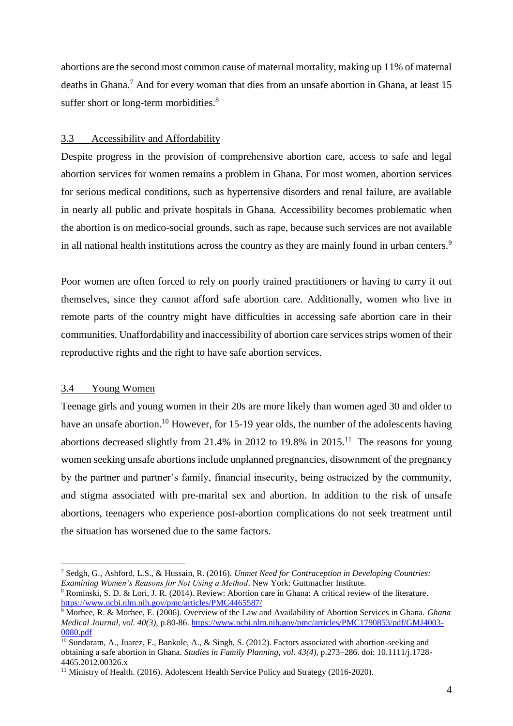abortions are the second most common cause of maternal mortality, making up 11% of maternal deaths in Ghana.<sup>7</sup> And for every woman that dies from an unsafe abortion in Ghana, at least 15 suffer short or long-term morbidities.<sup>8</sup>

#### 3.3 Accessibility and Affordability

Despite progress in the provision of comprehensive abortion care, access to safe and legal abortion services for women remains a problem in Ghana. For most women, abortion services for serious medical conditions, such as hypertensive disorders and renal failure, are available in nearly all public and private hospitals in Ghana. Accessibility becomes problematic when the abortion is on medico-social grounds, such as rape, because such services are not available in all national health institutions across the country as they are mainly found in urban centers.<sup>9</sup>

Poor women are often forced to rely on poorly trained practitioners or having to carry it out themselves, since they cannot afford safe abortion care. Additionally, women who live in remote parts of the country might have difficulties in accessing safe abortion care in their communities. Unaffordability and inaccessibility of abortion care services strips women of their reproductive rights and the right to have safe abortion services.

## 3.4 Young Women

 $\overline{a}$ 

Teenage girls and young women in their 20s are more likely than women aged 30 and older to have an unsafe abortion.<sup>10</sup> However, for 15-19 year olds, the number of the adolescents having abortions decreased slightly from 21.4% in 2012 to 19.8% in 2015.<sup>11</sup> The reasons for young women seeking unsafe abortions include unplanned pregnancies, disownment of the pregnancy by the partner and partner's family, financial insecurity, being ostracized by the community, and stigma associated with pre-marital sex and abortion. In addition to the risk of unsafe abortions, teenagers who experience post-abortion complications do not seek treatment until the situation has worsened due to the same factors.

<sup>7</sup> Sedgh, G., Ashford, L.S., & Hussain, R. (2016). *Unmet Need for Contraception in Developing Countries: Examining Women's Reasons for Not Using a Method*. New York: Guttmacher Institute.

<sup>8</sup> Rominski, S. D. & Lori, J. R. (2014). Review: Abortion care in Ghana: A critical review of the literature. <https://www.ncbi.nlm.nih.gov/pmc/articles/PMC4465587/>

<sup>9</sup> Morhee, R. & Morhee, E. (2006). Overview of the Law and Availability of Abortion Services in Ghana. *Ghana Medical Journal, vol. 40(3),* p.80-86. [https://www.ncbi.nlm.nih.gov/pmc/articles/PMC1790853/pdf/GMJ4003-](https://www.ncbi.nlm.nih.gov/pmc/articles/PMC1790853/pdf/GMJ4003-0080.pdf) [0080.pdf](https://www.ncbi.nlm.nih.gov/pmc/articles/PMC1790853/pdf/GMJ4003-0080.pdf)

<sup>&</sup>lt;sup>10</sup> Sundaram, A., Juarez, F., Bankole, A., & Singh, S. (2012). Factors associated with abortion-seeking and obtaining a safe abortion in Ghana. *Studies in Family Planning*, *vol. 43(4),* p.273–286. doi: 10.1111/j.1728- 4465.2012.00326.x

<sup>&</sup>lt;sup>11</sup> Ministry of Health. (2016). Adolescent Health Service Policy and Strategy (2016-2020).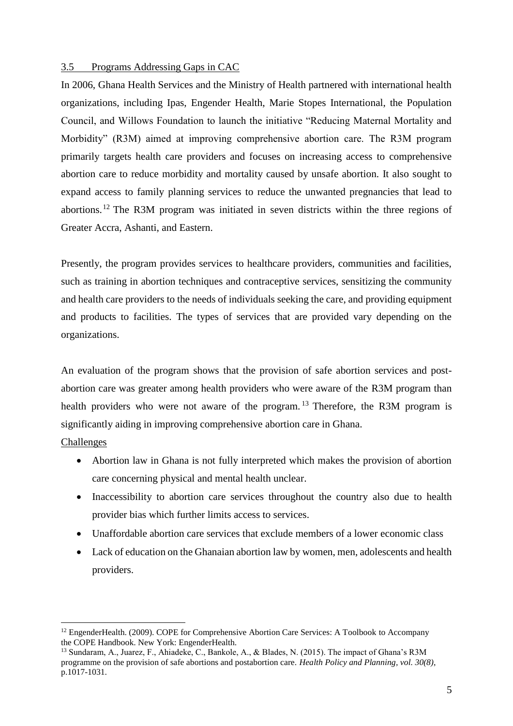#### 3.5 Programs Addressing Gaps in CAC

In 2006, Ghana Health Services and the Ministry of Health partnered with international health organizations, including Ipas, Engender Health, Marie Stopes International, the Population Council, and Willows Foundation to launch the initiative "Reducing Maternal Mortality and Morbidity" (R3M) aimed at improving comprehensive abortion care. The R3M program primarily targets health care providers and focuses on increasing access to comprehensive abortion care to reduce morbidity and mortality caused by unsafe abortion. It also sought to expand access to family planning services to reduce the unwanted pregnancies that lead to abortions.<sup>12</sup> The R3M program was initiated in seven districts within the three regions of Greater Accra, Ashanti, and Eastern.

Presently, the program provides services to healthcare providers, communities and facilities, such as training in abortion techniques and contraceptive services, sensitizing the community and health care providers to the needs of individuals seeking the care, and providing equipment and products to facilities. The types of services that are provided vary depending on the organizations.

An evaluation of the program shows that the provision of safe abortion services and postabortion care was greater among health providers who were aware of the R3M program than health providers who were not aware of the program.<sup>13</sup> Therefore, the R3M program is significantly aiding in improving comprehensive abortion care in Ghana.

Challenges

- Abortion law in Ghana is not fully interpreted which makes the provision of abortion care concerning physical and mental health unclear.
- Inaccessibility to abortion care services throughout the country also due to health provider bias which further limits access to services.
- Unaffordable abortion care services that exclude members of a lower economic class
- Lack of education on the Ghanaian abortion law by women, men, adolescents and health providers.

<sup>&</sup>lt;sup>12</sup> EngenderHealth. (2009). COPE for Comprehensive Abortion Care Services: A Toolbook to Accompany the COPE Handbook. New York: EngenderHealth.

<sup>13</sup> Sundaram, A., Juarez, F., Ahiadeke, C., Bankole, A., & Blades, N. (2015). The impact of Ghana's R3M programme on the provision of safe abortions and postabortion care. *Health Policy and Planning, vol. 30(8)*, p.1017-1031.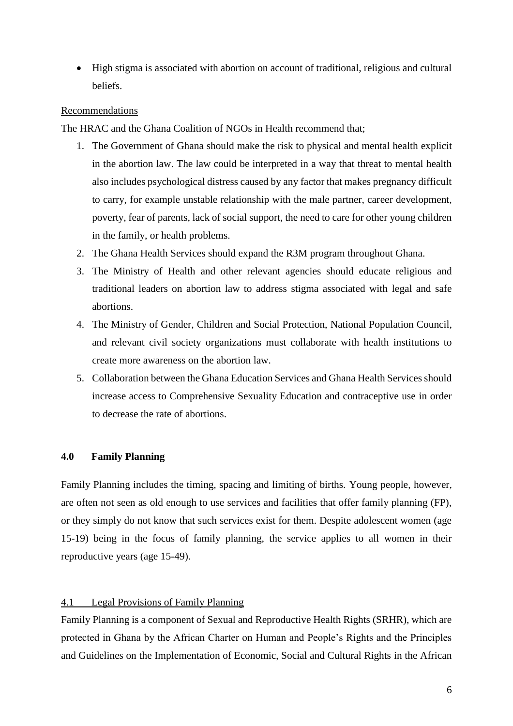High stigma is associated with abortion on account of traditional, religious and cultural beliefs.

#### Recommendations

The HRAC and the Ghana Coalition of NGOs in Health recommend that;

- 1. The Government of Ghana should make the risk to physical and mental health explicit in the abortion law. The law could be interpreted in a way that threat to mental health also includes psychological distress caused by any factor that makes pregnancy difficult to carry, for example unstable relationship with the male partner, career development, poverty, fear of parents, lack of social support, the need to care for other young children in the family, or health problems.
- 2. The Ghana Health Services should expand the R3M program throughout Ghana.
- 3. The Ministry of Health and other relevant agencies should educate religious and traditional leaders on abortion law to address stigma associated with legal and safe abortions.
- 4. The Ministry of Gender, Children and Social Protection, National Population Council, and relevant civil society organizations must collaborate with health institutions to create more awareness on the abortion law.
- 5. Collaboration between the Ghana Education Services and Ghana Health Services should increase access to Comprehensive Sexuality Education and contraceptive use in order to decrease the rate of abortions.

## **4.0 Family Planning**

Family Planning includes the timing, spacing and limiting of births. Young people, however, are often not seen as old enough to use services and facilities that offer family planning (FP), or they simply do not know that such services exist for them. Despite adolescent women (age 15-19) being in the focus of family planning, the service applies to all women in their reproductive years (age 15-49).

## 4.1 Legal Provisions of Family Planning

Family Planning is a component of Sexual and Reproductive Health Rights (SRHR), which are protected in Ghana by the African Charter on Human and People's Rights and the Principles and Guidelines on the Implementation of Economic, Social and Cultural Rights in the African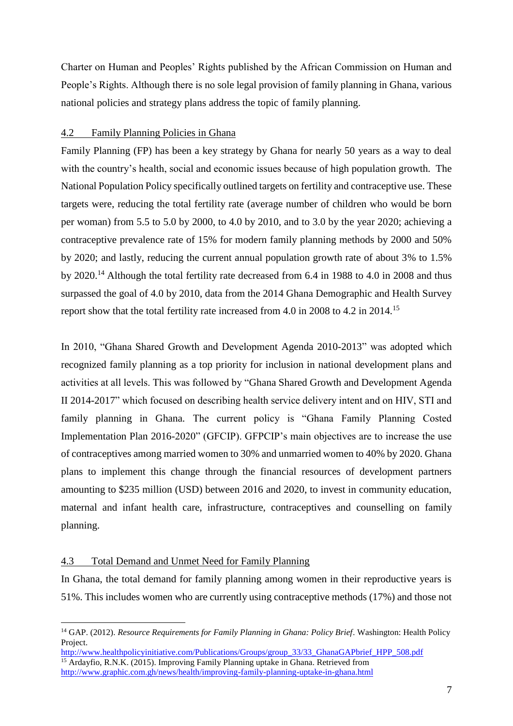Charter on Human and Peoples' Rights published by the African Commission on Human and People's Rights. Although there is no sole legal provision of family planning in Ghana, various national policies and strategy plans address the topic of family planning.

#### 4.2 Family Planning Policies in Ghana

Family Planning (FP) has been a key strategy by Ghana for nearly 50 years as a way to deal with the country's health, social and economic issues because of high population growth. The National Population Policy specifically outlined targets on fertility and contraceptive use. These targets were, reducing the total fertility rate (average number of children who would be born per woman) from 5.5 to 5.0 by 2000, to 4.0 by 2010, and to 3.0 by the year 2020; achieving a contraceptive prevalence rate of 15% for modern family planning methods by 2000 and 50% by 2020; and lastly, reducing the current annual population growth rate of about 3% to 1.5% by 2020.<sup>14</sup> Although the total fertility rate decreased from 6.4 in 1988 to 4.0 in 2008 and thus surpassed the goal of 4.0 by 2010, data from the 2014 Ghana Demographic and Health Survey report show that the total fertility rate increased from 4.0 in 2008 to 4.2 in 2014.<sup>15</sup>

In 2010, "Ghana Shared Growth and Development Agenda 2010-2013" was adopted which recognized family planning as a top priority for inclusion in national development plans and activities at all levels. This was followed by "Ghana Shared Growth and Development Agenda II 2014-2017" which focused on describing health service delivery intent and on HIV, STI and family planning in Ghana. The current policy is "Ghana Family Planning Costed Implementation Plan 2016-2020" (GFCIP). GFPCIP's main objectives are to increase the use of contraceptives among married women to 30% and unmarried women to 40% by 2020. Ghana plans to implement this change through the financial resources of development partners amounting to \$235 million (USD) between 2016 and 2020, to invest in community education, maternal and infant health care, infrastructure, contraceptives and counselling on family planning.

#### 4.3 Total Demand and Unmet Need for Family Planning

 $\overline{a}$ 

In Ghana, the total demand for family planning among women in their reproductive years is 51%. This includes women who are currently using contraceptive methods (17%) and those not

<sup>14</sup> GAP. (2012). *Resource Requirements for Family Planning in Ghana: Policy Brief*. Washington: Health Policy Project.

[http://www.healthpolicyinitiative.com/Publications/Groups/group\\_33/33\\_GhanaGAPbrief\\_HPP\\_508.pdf](http://www.healthpolicyinitiative.com/Publications/Groups/group_33/33_GhanaGAPbrief_HPP_508.pdf) <sup>15</sup> Ardayfio, R.N.K. (2015). Improving Family Planning uptake in Ghana. Retrieved from <http://www.graphic.com.gh/news/health/improving-family-planning-uptake-in-ghana.html>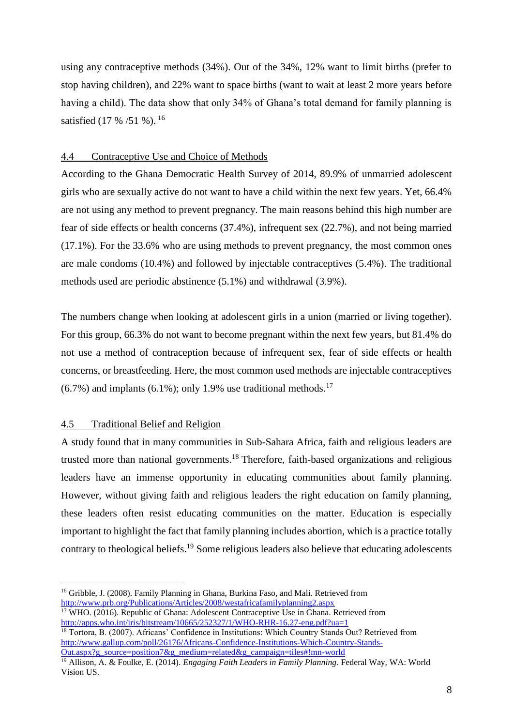using any contraceptive methods (34%). Out of the 34%, 12% want to limit births (prefer to stop having children), and 22% want to space births (want to wait at least 2 more years before having a child). The data show that only 34% of Ghana's total demand for family planning is satisfied (17 % / 51 %). <sup>16</sup>

#### 4.4 Contraceptive Use and Choice of Methods

According to the Ghana Democratic Health Survey of 2014, 89.9% of unmarried adolescent girls who are sexually active do not want to have a child within the next few years. Yet, 66.4% are not using any method to prevent pregnancy. The main reasons behind this high number are fear of side effects or health concerns (37.4%), infrequent sex (22.7%), and not being married (17.1%). For the 33.6% who are using methods to prevent pregnancy, the most common ones are male condoms (10.4%) and followed by injectable contraceptives (5.4%). The traditional methods used are periodic abstinence (5.1%) and withdrawal (3.9%).

The numbers change when looking at adolescent girls in a union (married or living together). For this group, 66.3% do not want to become pregnant within the next few years, but 81.4% do not use a method of contraception because of infrequent sex, fear of side effects or health concerns, or breastfeeding. Here, the most common used methods are injectable contraceptives  $(6.7\%)$  and implants  $(6.1\%)$ ; only 1.9% use traditional methods.<sup>17</sup>

## 4.5 Traditional Belief and Religion

 $\overline{a}$ 

A study found that in many communities in Sub-Sahara Africa, faith and religious leaders are trusted more than national governments. <sup>18</sup> Therefore, faith-based organizations and religious leaders have an immense opportunity in educating communities about family planning. However, without giving faith and religious leaders the right education on family planning, these leaders often resist educating communities on the matter. Education is especially important to highlight the fact that family planning includes abortion, which is a practice totally contrary to theological beliefs.<sup>19</sup> Some religious leaders also believe that educating adolescents

<sup>17</sup> WHO. (2016). Republic of Ghana: Adolescent Contraceptive Use in Ghana. Retrieved from <http://apps.who.int/iris/bitstream/10665/252327/1/WHO-RHR-16.27-eng.pdf?ua=1>

<sup>18</sup> Tortora, B. (2007). Africans' Confidence in Institutions: Which Country Stands Out? Retrieved from [http://www.gallup.com/poll/26176/Africans-Confidence-Institutions-Which-Country-Stands-](http://www.gallup.com/poll/26176/Africans-Confidence-Institutions-Which-Country-Stands-Out.aspx?g_source=position7&g_medium=related&g_campaign=tiles#!mn-world)[Out.aspx?g\\_source=position7&g\\_medium=related&g\\_campaign=tiles#!mn-world](http://www.gallup.com/poll/26176/Africans-Confidence-Institutions-Which-Country-Stands-Out.aspx?g_source=position7&g_medium=related&g_campaign=tiles#!mn-world)

<sup>&</sup>lt;sup>16</sup> Gribble, J. (2008). Family Planning in Ghana, Burkina Faso, and Mali. Retrieved from <http://www.prb.org/Publications/Articles/2008/westafricafamilyplanning2.aspx>

<sup>19</sup> Allison, A. & Foulke, E. (2014). *Engaging Faith Leaders in Family Planning*. Federal Way, WA: World Vision US.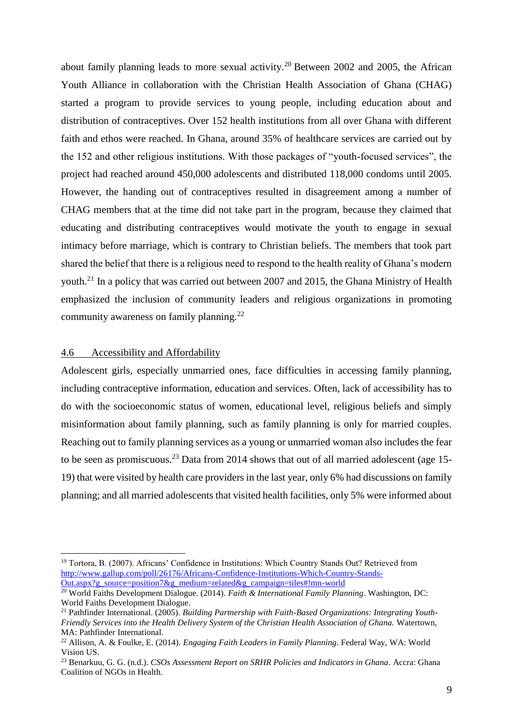about family planning leads to more sexual activity.<sup>20</sup> Between 2002 and 2005, the African Youth Alliance in collaboration with the Christian Health Association of Ghana (CHAG) started a program to provide services to young people, including education about and distribution of contraceptives. Over 152 health institutions from all over Ghana with different faith and ethos were reached. In Ghana, around 35% of healthcare services are carried out by the 152 and other religious institutions. With those packages of "youth-focused services", the project had reached around 450,000 adolescents and distributed 118,000 condoms until 2005. However, the handing out of contraceptives resulted in disagreement among a number of CHAG members that at the time did not take part in the program, because they claimed that educating and distributing contraceptives would motivate the youth to engage in sexual intimacy before marriage, which is contrary to Christian beliefs. The members that took part shared the belief that there is a religious need to respond to the health reality of Ghana's modern youth.<sup>21</sup> In a policy that was carried out between 2007 and 2015, the Ghana Ministry of Health emphasized the inclusion of community leaders and religious organizations in promoting community awareness on family planning.<sup>22</sup>

#### 4.6 Accessibility and Affordability

 $\overline{a}$ 

Adolescent girls, especially unmarried ones, face difficulties in accessing family planning, including contraceptive information, education and services. Often, lack of accessibility has to do with the socioeconomic status of women, educational level, religious beliefs and simply misinformation about family planning, such as family planning is only for married couples. Reaching out to family planning services as a young or unmarried woman also includes the fear to be seen as promiscuous.<sup>23</sup> Data from 2014 shows that out of all married adolescent (age 15-19) that were visited by health care providers in the last year, only 6% had discussions on family planning; and all married adolescents that visited health facilities, only 5% were informed about

<sup>19</sup> Tortora, B. (2007). Africans' Confidence in Institutions: Which Country Stands Out? Retrieved from [http://www.gallup.com/poll/26176/Africans-Confidence-Institutions-Which-Country-Stands-](http://www.gallup.com/poll/26176/Africans-Confidence-Institutions-Which-Country-Stands-Out.aspx?g_source=position7&g_medium=related&g_campaign=tiles#!mn-world)[Out.aspx?g\\_source=position7&g\\_medium=related&g\\_campaign=tiles#!mn-world](http://www.gallup.com/poll/26176/Africans-Confidence-Institutions-Which-Country-Stands-Out.aspx?g_source=position7&g_medium=related&g_campaign=tiles#!mn-world)

<sup>20</sup> World Faiths Development Dialogue. (2014). *Faith & International Family Planning*. Washington, DC: World Faiths Development Dialogue.

<sup>21</sup> Pathfinder International. (2005). *Building Partnership with Faith-Based Organizations: Integrating Youth-Friendly Services into the Health Delivery System of the Christian Health Association of Ghana.* Watertown, MA: Pathfinder International.

<sup>22</sup> Allison, A. & Foulke, E. (2014). *Engaging Faith Leaders in Family Planning*. Federal Way, WA: World Vision US.

<sup>23</sup> Benarkuu, G. G. (n.d.). *CSOs Assessment Report on SRHR Policies and Indicators in Ghana*. Accra: Ghana Coalition of NGOs in Health.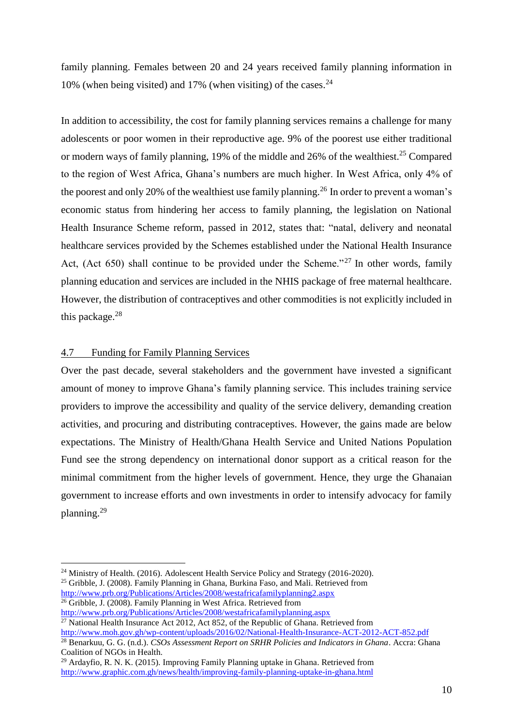family planning. Females between 20 and 24 years received family planning information in 10% (when being visited) and 17% (when visiting) of the cases. $^{24}$ 

In addition to accessibility, the cost for family planning services remains a challenge for many adolescents or poor women in their reproductive age. 9% of the poorest use either traditional or modern ways of family planning, 19% of the middle and 26% of the wealthiest.<sup>25</sup> Compared to the region of West Africa, Ghana's numbers are much higher. In West Africa, only 4% of the poorest and only 20% of the wealthiest use family planning.<sup>26</sup> In order to prevent a woman's economic status from hindering her access to family planning, the legislation on National Health Insurance Scheme reform, passed in 2012, states that: "natal, delivery and neonatal healthcare services provided by the Schemes established under the National Health Insurance Act, (Act  $650$ ) shall continue to be provided under the Scheme."<sup>27</sup> In other words, family planning education and services are included in the NHIS package of free maternal healthcare. However, the distribution of contraceptives and other commodities is not explicitly included in this package.<sup>28</sup>

## 4.7 Funding for Family Planning Services

 $\overline{a}$ 

Over the past decade, several stakeholders and the government have invested a significant amount of money to improve Ghana's family planning service. This includes training service providers to improve the accessibility and quality of the service delivery, demanding creation activities, and procuring and distributing contraceptives. However, the gains made are below expectations. The Ministry of Health/Ghana Health Service and United Nations Population Fund see the strong dependency on international donor support as a critical reason for the minimal commitment from the higher levels of government. Hence, they urge the Ghanaian government to increase efforts and own investments in order to intensify advocacy for family planning.<sup>29</sup>

 $24$  Ministry of Health. (2016). Adolescent Health Service Policy and Strategy (2016-2020).

<sup>&</sup>lt;sup>25</sup> Gribble, J. (2008). Family Planning in Ghana, Burkina Faso, and Mali. Retrieved from <http://www.prb.org/Publications/Articles/2008/westafricafamilyplanning2.aspx>  $\overline{^{26}$  Gribble, J. (2008). Family Planning in West Africa. Retrieved from

<http://www.prb.org/Publications/Articles/2008/westafricafamilyplanning.aspx>  $27$  National Health Insurance Act 2012, Act 852, of the Republic of Ghana. Retrieved from

<http://www.moh.gov.gh/wp-content/uploads/2016/02/National-Health-Insurance-ACT-2012-ACT-852.pdf>

<sup>28</sup> Benarkuu, G. G. (n.d.). *CSOs Assessment Report on SRHR Policies and Indicators in Ghana*. Accra: Ghana Coalition of NGOs in Health.

<sup>&</sup>lt;sup>29</sup> Ardayfio, R. N. K. (2015). Improving Family Planning uptake in Ghana. Retrieved from <http://www.graphic.com.gh/news/health/improving-family-planning-uptake-in-ghana.html>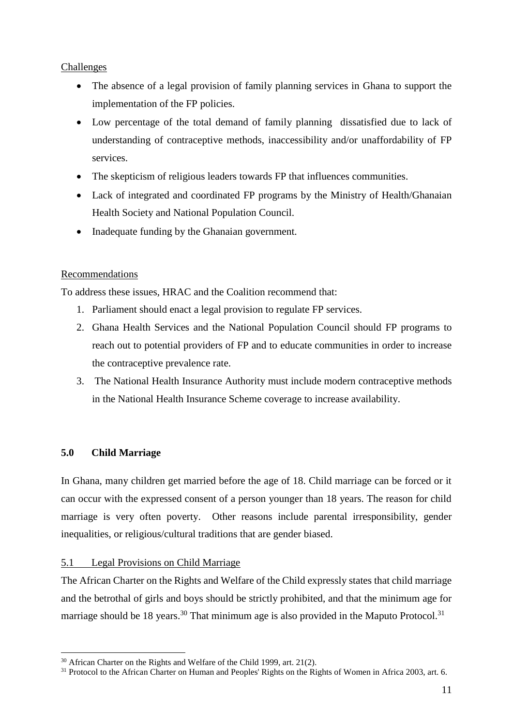## **Challenges**

- The absence of a legal provision of family planning services in Ghana to support the implementation of the FP policies.
- Low percentage of the total demand of family planning dissatisfied due to lack of understanding of contraceptive methods, inaccessibility and/or unaffordability of FP services.
- The skepticism of religious leaders towards FP that influences communities.
- Lack of integrated and coordinated FP programs by the Ministry of Health/Ghanaian Health Society and National Population Council.
- Inadequate funding by the Ghanaian government.

## Recommendations

To address these issues, HRAC and the Coalition recommend that:

- 1. Parliament should enact a legal provision to regulate FP services.
- 2. Ghana Health Services and the National Population Council should FP programs to reach out to potential providers of FP and to educate communities in order to increase the contraceptive prevalence rate.
- 3. The National Health Insurance Authority must include modern contraceptive methods in the National Health Insurance Scheme coverage to increase availability.

## **5.0 Child Marriage**

 $\overline{a}$ 

In Ghana, many children get married before the age of 18. Child marriage can be forced or it can occur with the expressed consent of a person younger than 18 years. The reason for child marriage is very often poverty. Other reasons include parental irresponsibility, gender inequalities, or religious/cultural traditions that are gender biased.

## 5.1 Legal Provisions on Child Marriage

The African Charter on the Rights and Welfare of the Child expressly states that child marriage and the betrothal of girls and boys should be strictly prohibited, and that the minimum age for marriage should be 18 years.<sup>30</sup> That minimum age is also provided in the Maputo Protocol.<sup>31</sup>

<sup>&</sup>lt;sup>30</sup> African Charter on the Rights and Welfare of the Child 1999, art. 21(2).

<sup>&</sup>lt;sup>31</sup> Protocol to the African Charter on Human and Peoples' Rights on the Rights of Women in Africa 2003, art. 6.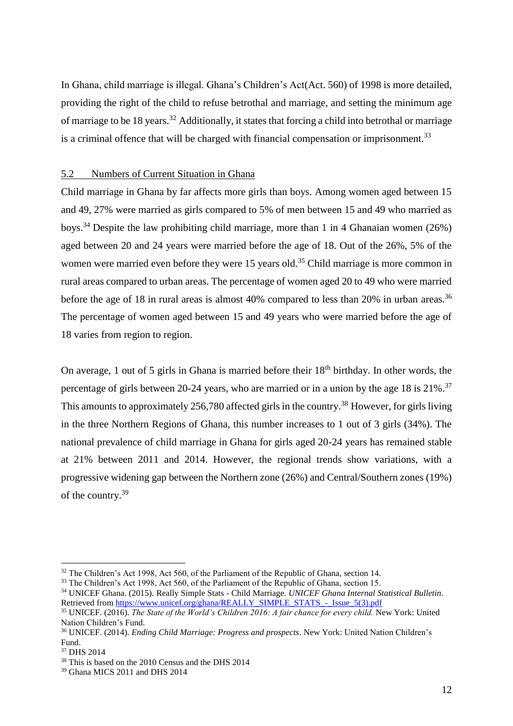In Ghana, child marriage is illegal. Ghana's Children's Act(Act. 560) of 1998 is more detailed, providing the right of the child to refuse betrothal and marriage, and setting the minimum age of marriage to be 18 years.<sup>32</sup> Additionally, it states that forcing a child into betrothal or marriage is a criminal offence that will be charged with financial compensation or imprisonment.<sup>33</sup>

#### 5.2 Numbers of Current Situation in Ghana

Child marriage in Ghana by far affects more girls than boys. Among women aged between 15 and 49, 27% were married as girls compared to 5% of men between 15 and 49 who married as boys.<sup>34</sup> Despite the law prohibiting child marriage, more than 1 in 4 Ghanaian women (26%) aged between 20 and 24 years were married before the age of 18. Out of the 26%, 5% of the women were married even before they were 15 years old.<sup>35</sup> Child marriage is more common in rural areas compared to urban areas. The percentage of women aged 20 to 49 who were married before the age of 18 in rural areas is almost 40% compared to less than 20% in urban areas.<sup>36</sup> The percentage of women aged between 15 and 49 years who were married before the age of 18 varies from region to region.

On average, 1 out of 5 girls in Ghana is married before their  $18<sup>th</sup>$  birthday. In other words, the percentage of girls between 20-24 years, who are married or in a union by the age 18 is 21%.<sup>37</sup> This amounts to approximately 256,780 affected girls in the country.<sup>38</sup> However, for girls living in the three Northern Regions of Ghana, this number increases to 1 out of 3 girls (34%). The national prevalence of child marriage in Ghana for girls aged 20-24 years has remained stable at 21% between 2011 and 2014. However, the regional trends show variations, with a progressive widening gap between the Northern zone (26%) and Central/Southern zones (19%) of the country.<sup>39</sup>

<sup>&</sup>lt;sup>32</sup> The Children's Act 1998, Act 560, of the Parliament of the Republic of Ghana, section 14.

<sup>&</sup>lt;sup>33</sup> The Children's Act 1998, Act 560, of the Parliament of the Republic of Ghana, section 15.

<sup>34</sup> UNICEF Ghana. (2015). Really Simple Stats - Child Marriage. *UNICEF Ghana Internal Statistical Bulletin*. Retrieved from [https://www.unicef.org/ghana/REALLY\\_SIMPLE\\_STATS\\_-\\_Issue\\_5\(3\).pdf](https://www.unicef.org/ghana/REALLY_SIMPLE_STATS_-_Issue_5(3).pdf)

<sup>35</sup> UNICEF. (2016). *The State of the World's Children 2016: A fair chance for every child.* New York: United Nation Children's Fund.

<sup>36</sup> UNICEF. (2014). *Ending Child Marriage: Progress and prospects*. New York: United Nation Children's Fund.

<sup>37</sup> DHS 2014

<sup>38</sup> This is based on the 2010 Census and the DHS 2014

<sup>39</sup> Ghana MICS 2011 and DHS 2014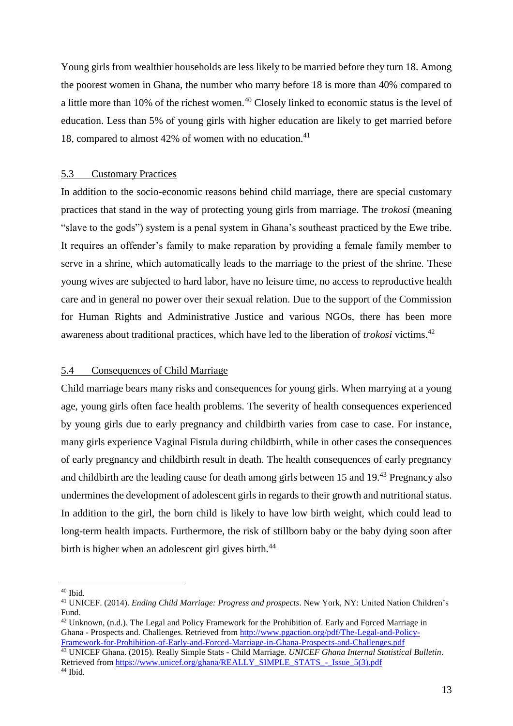Young girls from wealthier households are less likely to be married before they turn 18. Among the poorest women in Ghana, the number who marry before 18 is more than 40% compared to a little more than 10% of the richest women.<sup>40</sup> Closely linked to economic status is the level of education. Less than 5% of young girls with higher education are likely to get married before 18, compared to almost  $42\%$  of women with no education.<sup>41</sup>

#### 5.3 Customary Practices

In addition to the socio-economic reasons behind child marriage, there are special customary practices that stand in the way of protecting young girls from marriage. The *trokosi* (meaning "slave to the gods") system is a penal system in Ghana's southeast practiced by the Ewe tribe. It requires an offender's family to make reparation by providing a female family member to serve in a shrine, which automatically leads to the marriage to the priest of the shrine. These young wives are subjected to hard labor, have no leisure time, no access to reproductive health care and in general no power over their sexual relation. Due to the support of the Commission for Human Rights and Administrative Justice and various NGOs, there has been more awareness about traditional practices, which have led to the liberation of *trokosi* victims.<sup>42</sup>

#### 5.4 Consequences of Child Marriage

Child marriage bears many risks and consequences for young girls. When marrying at a young age, young girls often face health problems. The severity of health consequences experienced by young girls due to early pregnancy and childbirth varies from case to case. For instance, many girls experience Vaginal Fistula during childbirth, while in other cases the consequences of early pregnancy and childbirth result in death. The health consequences of early pregnancy and childbirth are the leading cause for death among girls between 15 and 19<sup>43</sup> Pregnancy also undermines the development of adolescent girls in regards to their growth and nutritional status. In addition to the girl, the born child is likely to have low birth weight, which could lead to long-term health impacts. Furthermore, the risk of stillborn baby or the baby dying soon after birth is higher when an adolescent girl gives birth.<sup>44</sup>

<sup>40</sup> Ibid.

<sup>41</sup> UNICEF. (2014). *Ending Child Marriage: Progress and prospects*. New York, NY: United Nation Children's Fund.

<sup>42</sup> Unknown, (n.d.). The Legal and Policy Framework for the Prohibition of. Early and Forced Marriage in Ghana - Prospects and. Challenges. Retrieved from [http://www.pgaction.org/pdf/The-Legal-and-Policy-](http://www.pgaction.org/pdf/The-Legal-and-Policy-Framework-for-Prohibition-of-Early-and-Forced-Marriage-in-Ghana-Prospects-and-Challenges.pdf)[Framework-for-Prohibition-of-Early-and-Forced-Marriage-in-Ghana-Prospects-and-Challenges.pdf](http://www.pgaction.org/pdf/The-Legal-and-Policy-Framework-for-Prohibition-of-Early-and-Forced-Marriage-in-Ghana-Prospects-and-Challenges.pdf)

<sup>43</sup> UNICEF Ghana. (2015). Really Simple Stats - Child Marriage. *UNICEF Ghana Internal Statistical Bulletin*. Retrieved from [https://www.unicef.org/ghana/REALLY\\_SIMPLE\\_STATS\\_-\\_Issue\\_5\(3\).pdf](https://www.unicef.org/ghana/REALLY_SIMPLE_STATS_-_Issue_5(3).pdf) <sup>44</sup> Ibid.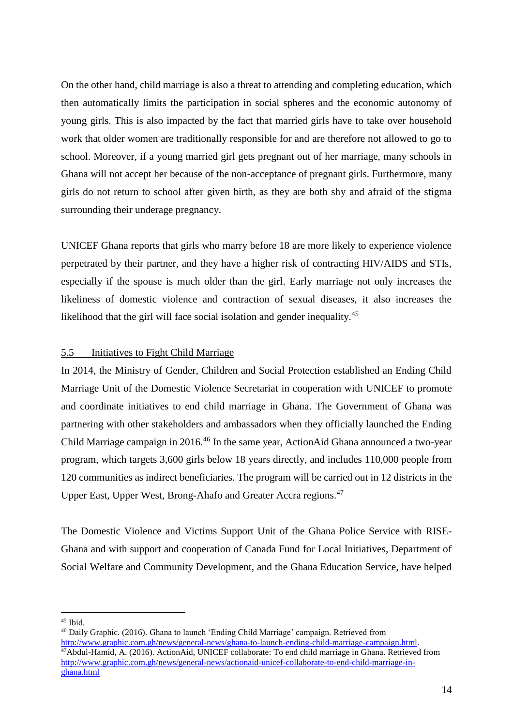On the other hand, child marriage is also a threat to attending and completing education, which then automatically limits the participation in social spheres and the economic autonomy of young girls. This is also impacted by the fact that married girls have to take over household work that older women are traditionally responsible for and are therefore not allowed to go to school. Moreover, if a young married girl gets pregnant out of her marriage, many schools in Ghana will not accept her because of the non-acceptance of pregnant girls. Furthermore, many girls do not return to school after given birth, as they are both shy and afraid of the stigma surrounding their underage pregnancy.

UNICEF Ghana reports that girls who marry before 18 are more likely to experience violence perpetrated by their partner, and they have a higher risk of contracting HIV/AIDS and STIs, especially if the spouse is much older than the girl. Early marriage not only increases the likeliness of domestic violence and contraction of sexual diseases, it also increases the likelihood that the girl will face social isolation and gender inequality.<sup>45</sup>

#### 5.5 Initiatives to Fight Child Marriage

In 2014, the Ministry of Gender, Children and Social Protection established an Ending Child Marriage Unit of the Domestic Violence Secretariat in cooperation with UNICEF to promote and coordinate initiatives to end child marriage in Ghana. The Government of Ghana was partnering with other stakeholders and ambassadors when they officially launched the Ending Child Marriage campaign in 2016.<sup>46</sup> In the same year, ActionAid Ghana announced a two-year program, which targets 3,600 girls below 18 years directly, and includes 110,000 people from 120 communities as indirect beneficiaries. The program will be carried out in 12 districts in the Upper East, Upper West, Brong-Ahafo and Greater Accra regions.<sup>47</sup>

The Domestic Violence and Victims Support Unit of the Ghana Police Service with RISE-Ghana and with support and cooperation of Canada Fund for Local Initiatives, Department of Social Welfare and Community Development, and the Ghana Education Service, have helped

 $45$  Ibid.

<sup>46</sup> Daily Graphic. (2016). Ghana to launch 'Ending Child Marriage' campaign. Retrieved from [http://www.graphic.com.gh/news/general-news/ghana-to-launch-ending-child-marriage-campaign.html.](http://www.graphic.com.gh/news/general-news/ghana-to-launch-ending-child-marriage-campaign.html) <sup>47</sup>Abdul-Hamid, A. (2016). ActionAid, UNICEF collaborate: To end child marriage in Ghana. Retrieved from [http://www.graphic.com.gh/news/general-news/actionaid-unicef-collaborate-to-end-child-marriage-in](http://www.graphic.com.gh/news/general-news/actionaid-unicef-collaborate-to-end-child-marriage-in-ghana.html)[ghana.html](http://www.graphic.com.gh/news/general-news/actionaid-unicef-collaborate-to-end-child-marriage-in-ghana.html)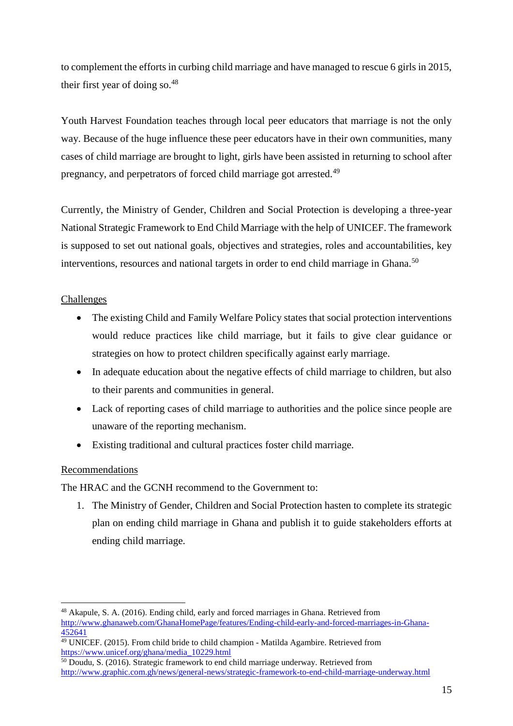to complement the efforts in curbing child marriage and have managed to rescue 6 girls in 2015, their first year of doing so. $48$ 

Youth Harvest Foundation teaches through local peer educators that marriage is not the only way. Because of the huge influence these peer educators have in their own communities, many cases of child marriage are brought to light, girls have been assisted in returning to school after pregnancy, and perpetrators of forced child marriage got arrested.<sup>49</sup>

Currently, the Ministry of Gender, Children and Social Protection is developing a three-year National Strategic Framework to End Child Marriage with the help of UNICEF. The framework is supposed to set out national goals, objectives and strategies, roles and accountabilities, key interventions, resources and national targets in order to end child marriage in Ghana.<sup>50</sup>

## Challenges

- The existing Child and Family Welfare Policy states that social protection interventions would reduce practices like child marriage, but it fails to give clear guidance or strategies on how to protect children specifically against early marriage.
- In adequate education about the negative effects of child marriage to children, but also to their parents and communities in general.
- Lack of reporting cases of child marriage to authorities and the police since people are unaware of the reporting mechanism.
- Existing traditional and cultural practices foster child marriage.

## Recommendations

 $\overline{a}$ 

The HRAC and the GCNH recommend to the Government to:

1. The Ministry of Gender, Children and Social Protection hasten to complete its strategic plan on ending child marriage in Ghana and publish it to guide stakeholders efforts at ending child marriage.

<sup>48</sup> Akapule, S. A. (2016). Ending child, early and forced marriages in Ghana. Retrieved from [http://www.ghanaweb.com/GhanaHomePage/features/Ending-child-early-and-forced-marriages-in-Ghana-](http://www.ghanaweb.com/GhanaHomePage/features/Ending-child-early-and-forced-marriages-in-Ghana-452641)[452641](http://www.ghanaweb.com/GhanaHomePage/features/Ending-child-early-and-forced-marriages-in-Ghana-452641)

<sup>49</sup> UNICEF. (2015). From child bride to child champion - Matilda Agambire. Retrieved from [https://www.unicef.org/ghana/media\\_10229.html](https://www.unicef.org/ghana/media_10229.html)

<sup>&</sup>lt;sup>50</sup> Doudu, S. (2016). Strategic framework to end child marriage underway. Retrieved from <http://www.graphic.com.gh/news/general-news/strategic-framework-to-end-child-marriage-underway.html>